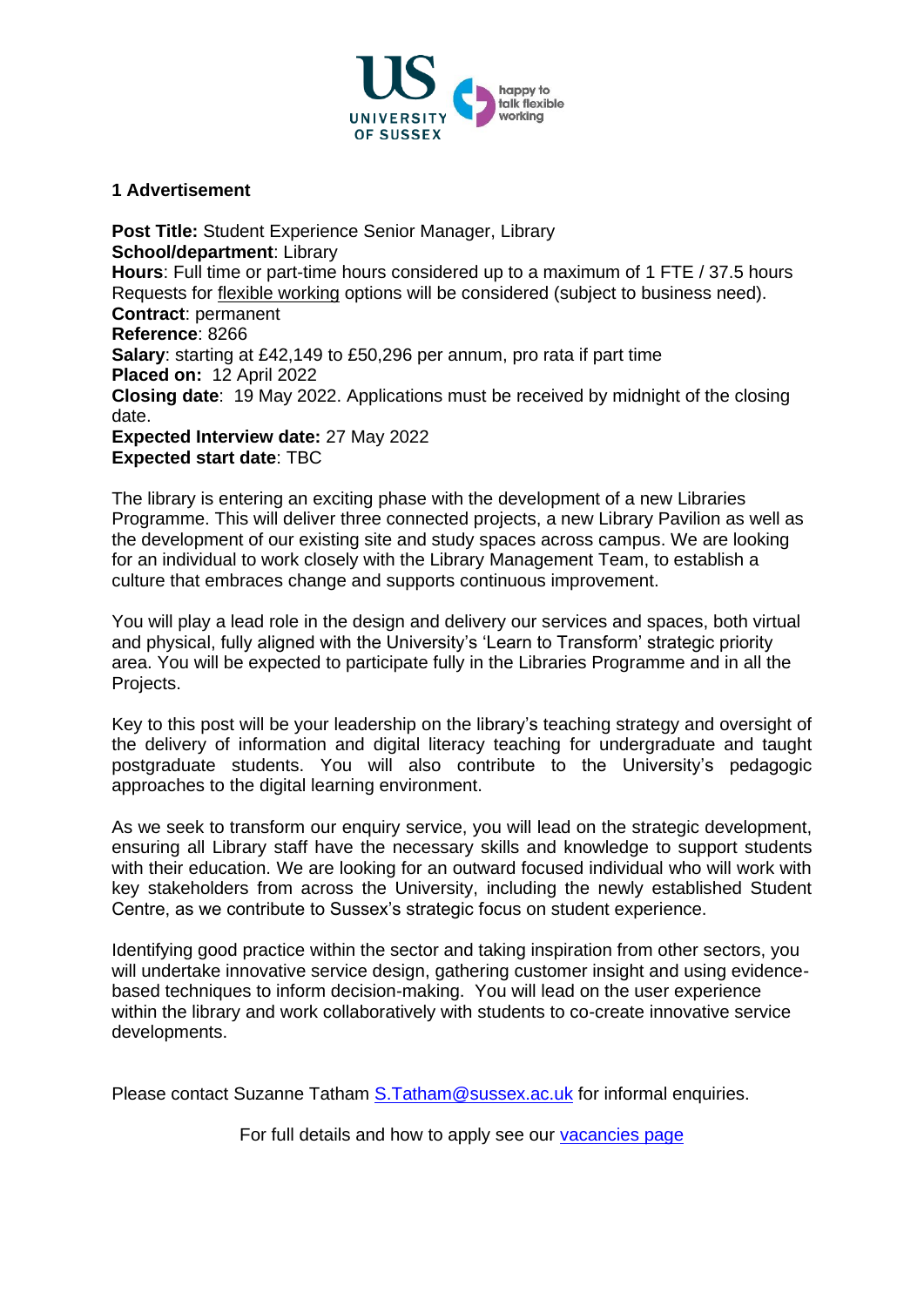

#### **1 Advertisement**

**Post Title:** Student Experience Senior Manager, Library **School/department**: Library **Hours**: Full time or part-time hours considered up to a maximum of 1 FTE / 37.5 hours Requests for [flexible working](http://www.sussex.ac.uk/humanresources/personnel/flexible-working) options will be considered (subject to business need). **Contract**: permanent **Reference**: 8266 **Salary**: starting at £42,149 to £50,296 per annum, pro rata if part time **Placed on:** 12 April 2022 **Closing date**: 19 May 2022. Applications must be received by midnight of the closing date. **Expected Interview date:** 27 May 2022 **Expected start date**: TBC

The library is entering an exciting phase with the development of a new Libraries Programme. This will deliver three connected projects, a new Library Pavilion as well as the development of our existing site and study spaces across campus. We are looking for an individual to work closely with the Library Management Team, to establish a culture that embraces change and supports continuous improvement.

You will play a lead role in the design and delivery our services and spaces, both virtual and physical, fully aligned with the University's 'Learn to Transform' strategic priority area. You will be expected to participate fully in the Libraries Programme and in all the Projects.

Key to this post will be your leadership on the library's teaching strategy and oversight of the delivery of information and digital literacy teaching for undergraduate and taught postgraduate students. You will also contribute to the University's pedagogic approaches to the digital learning environment.

As we seek to transform our enquiry service, you will lead on the strategic development, ensuring all Library staff have the necessary skills and knowledge to support students with their education. We are looking for an outward focused individual who will work with key stakeholders from across the University, including the newly established Student Centre, as we contribute to Sussex's strategic focus on student experience.

Identifying good practice within the sector and taking inspiration from other sectors, you will undertake innovative service design, gathering customer insight and using evidencebased techniques to inform decision-making. You will lead on the user experience within the library and work collaboratively with students to co-create innovative service developments.

Please contact Suzanne Tatham [S.Tatham@sussex.ac.uk](mailto:S.Tatham@sussex.ac.uk) for informal enquiries.

For full details and how to apply see our [vacancies page](http://www.sussex.ac.uk/about/jobs)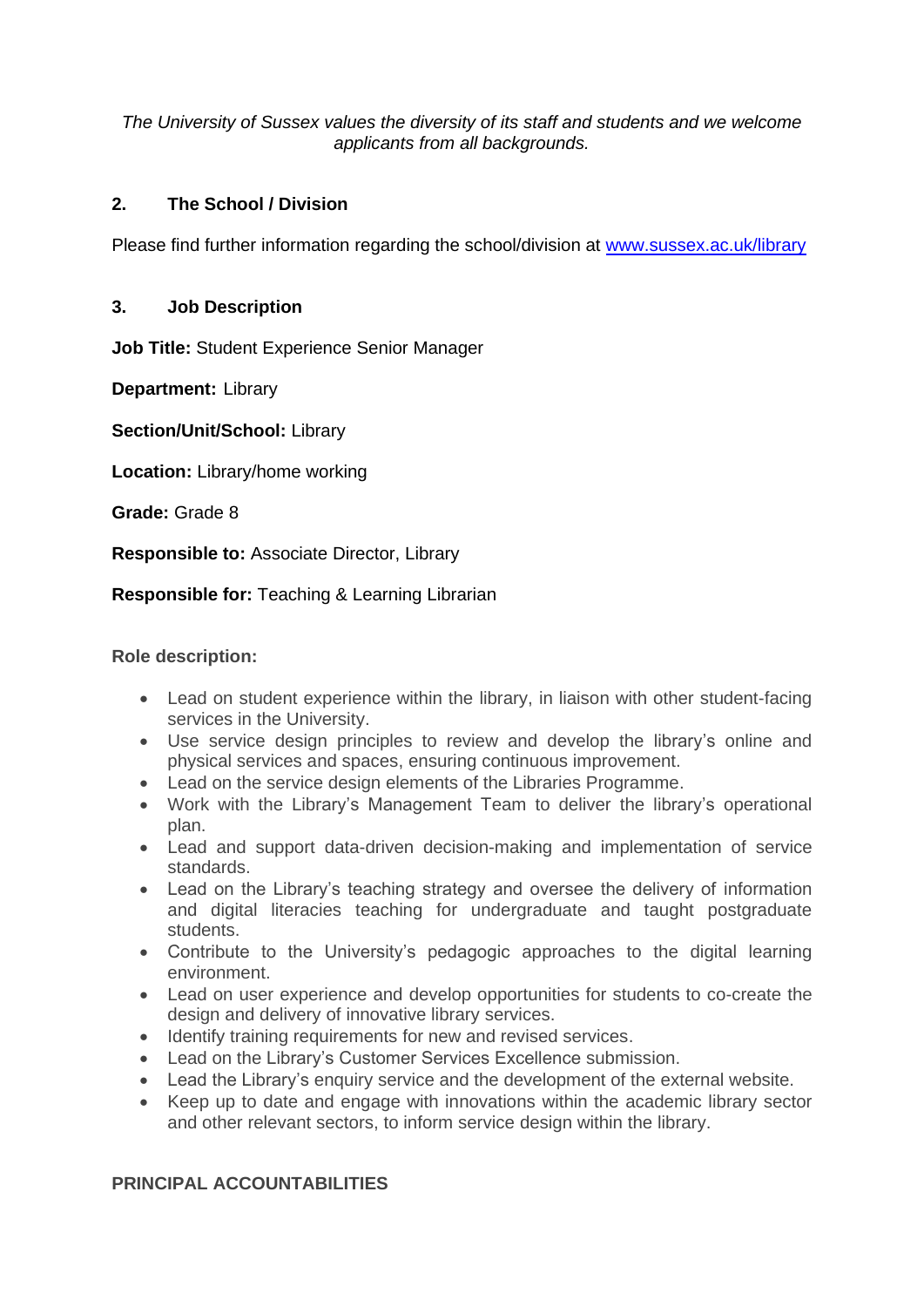*The University of Sussex values the diversity of its staff and students and we welcome applicants from all backgrounds.*

# **2. The School / Division**

Please find further information regarding the school/division at [www.sussex.ac.uk/library](http://www.sussex.ac.uk/library)

## **3. Job Description**

**Job Title:** Student Experience Senior Manager

**Department:** Library

**Section/Unit/School:** Library

**Location:** Library/home working

**Grade:** Grade 8

**Responsible to:** Associate Director, Library

## **Responsible for:** Teaching & Learning Librarian

#### **Role description:**

- Lead on student experience within the library, in liaison with other student-facing services in the University.
- Use service design principles to review and develop the library's online and physical services and spaces, ensuring continuous improvement.
- Lead on the service design elements of the Libraries Programme.
- Work with the Library's Management Team to deliver the library's operational plan.
- Lead and support data-driven decision-making and implementation of service standards.
- Lead on the Library's teaching strategy and oversee the delivery of information and digital literacies teaching for undergraduate and taught postgraduate students.
- Contribute to the University's pedagogic approaches to the digital learning environment.
- Lead on user experience and develop opportunities for students to co-create the design and delivery of innovative library services.
- Identify training requirements for new and revised services.
- Lead on the Library's Customer Services Excellence submission.
- Lead the Library's enquiry service and the development of the external website.
- Keep up to date and engage with innovations within the academic library sector and other relevant sectors, to inform service design within the library.

## **PRINCIPAL ACCOUNTABILITIES**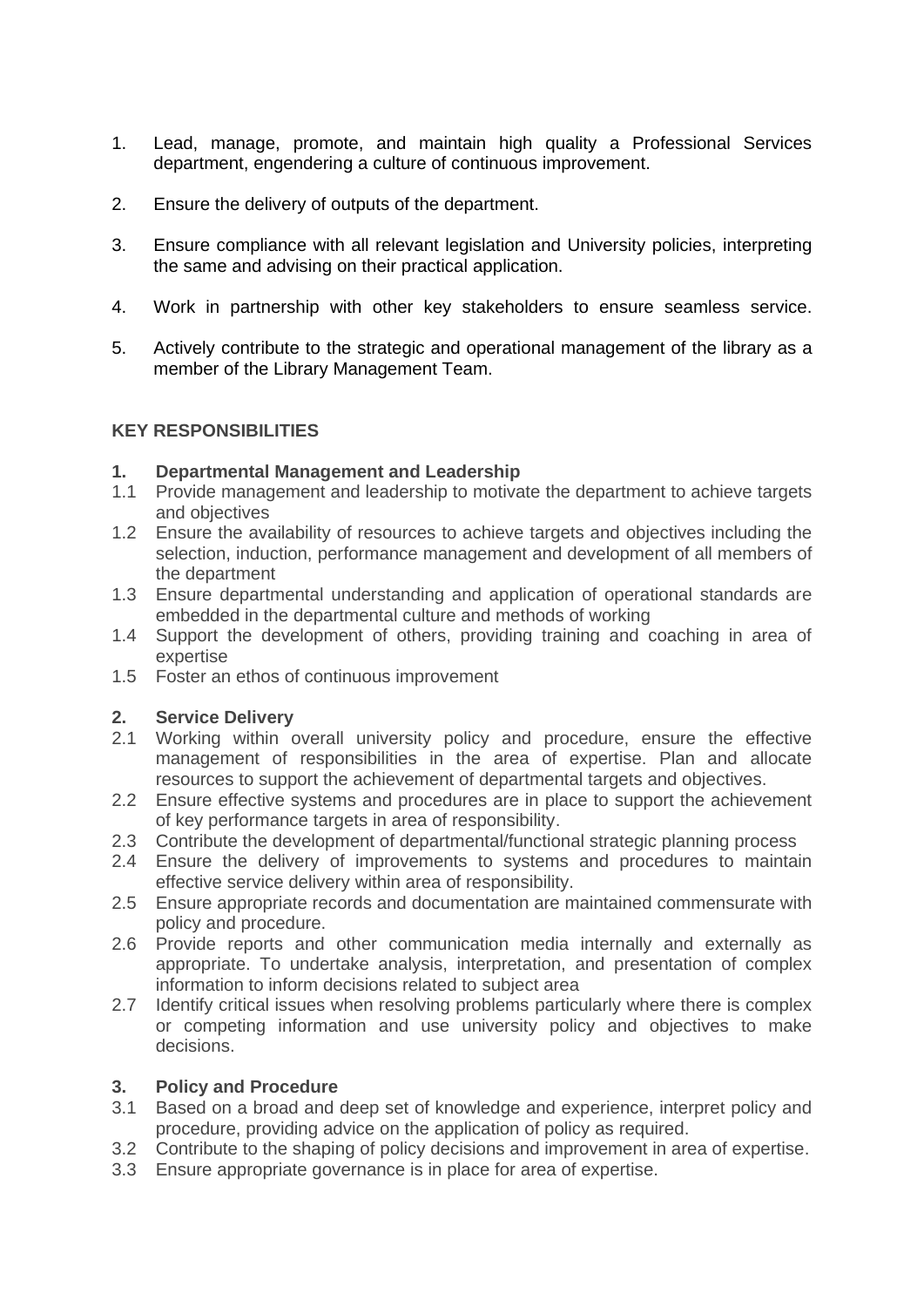- 1. Lead, manage, promote, and maintain high quality a Professional Services department, engendering a culture of continuous improvement.
- 2. Ensure the delivery of outputs of the department.
- 3. Ensure compliance with all relevant legislation and University policies, interpreting the same and advising on their practical application.
- 4. Work in partnership with other key stakeholders to ensure seamless service.
- 5. Actively contribute to the strategic and operational management of the library as a member of the Library Management Team.

## **KEY RESPONSIBILITIES**

## **1. Departmental Management and Leadership**

- 1.1 Provide management and leadership to motivate the department to achieve targets and objectives
- 1.2 Ensure the availability of resources to achieve targets and objectives including the selection, induction, performance management and development of all members of the department
- 1.3 Ensure departmental understanding and application of operational standards are embedded in the departmental culture and methods of working
- 1.4 Support the development of others, providing training and coaching in area of expertise
- 1.5 Foster an ethos of continuous improvement

## **2. Service Delivery**

- 2.1 Working within overall university policy and procedure, ensure the effective management of responsibilities in the area of expertise. Plan and allocate resources to support the achievement of departmental targets and objectives.
- 2.2 Ensure effective systems and procedures are in place to support the achievement of key performance targets in area of responsibility.
- 2.3 Contribute the development of departmental/functional strategic planning process
- 2.4 Ensure the delivery of improvements to systems and procedures to maintain effective service delivery within area of responsibility.
- 2.5 Ensure appropriate records and documentation are maintained commensurate with policy and procedure.
- 2.6 Provide reports and other communication media internally and externally as appropriate. To undertake analysis, interpretation, and presentation of complex information to inform decisions related to subject area
- 2.7 Identify critical issues when resolving problems particularly where there is complex or competing information and use university policy and objectives to make decisions.

## **3. Policy and Procedure**

- 3.1 Based on a broad and deep set of knowledge and experience, interpret policy and procedure, providing advice on the application of policy as required.
- 3.2 Contribute to the shaping of policy decisions and improvement in area of expertise.
- 3.3 Ensure appropriate governance is in place for area of expertise.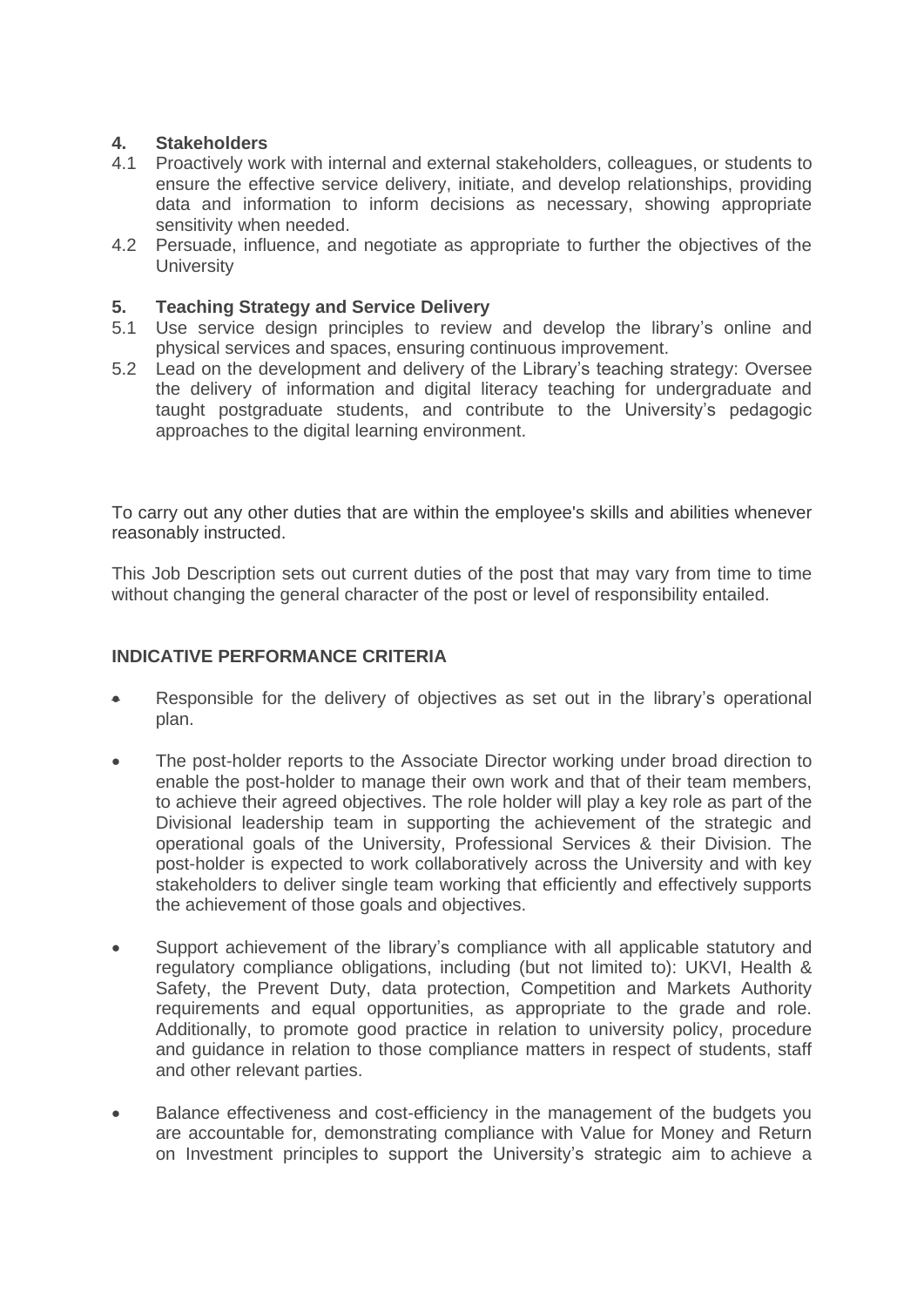## **4. Stakeholders**

- 4.1 Proactively work with internal and external stakeholders, colleagues, or students to ensure the effective service delivery, initiate, and develop relationships, providing data and information to inform decisions as necessary, showing appropriate sensitivity when needed.
- 4.2 Persuade, influence, and negotiate as appropriate to further the objectives of the **University**

#### **5. Teaching Strategy and Service Delivery**

- 5.1 Use service design principles to review and develop the library's online and physical services and spaces, ensuring continuous improvement.
- 5.2 Lead on the development and delivery of the Library's teaching strategy: Oversee the delivery of information and digital literacy teaching for undergraduate and taught postgraduate students, and contribute to the University's pedagogic approaches to the digital learning environment.

To carry out any other duties that are within the employee's skills and abilities whenever reasonably instructed.

This Job Description sets out current duties of the post that may vary from time to time without changing the general character of the post or level of responsibility entailed.

#### **INDICATIVE PERFORMANCE CRITERIA**

- Responsible for the delivery of objectives as set out in the library's operational plan.
- The post-holder reports to the Associate Director working under broad direction to enable the post-holder to manage their own work and that of their team members, to achieve their agreed objectives. The role holder will play a key role as part of the Divisional leadership team in supporting the achievement of the strategic and operational goals of the University, Professional Services & their Division. The post-holder is expected to work collaboratively across the University and with key stakeholders to deliver single team working that efficiently and effectively supports the achievement of those goals and objectives.
- Support achievement of the library's compliance with all applicable statutory and regulatory compliance obligations, including (but not limited to): UKVI, Health & Safety, the Prevent Duty, data protection, Competition and Markets Authority requirements and equal opportunities, as appropriate to the grade and role. Additionally, to promote good practice in relation to university policy, procedure and guidance in relation to those compliance matters in respect of students, staff and other relevant parties.
- Balance effectiveness and cost-efficiency in the management of the budgets you are accountable for, demonstrating compliance with Value for Money and Return on Investment principles to support the University's strategic aim to achieve a